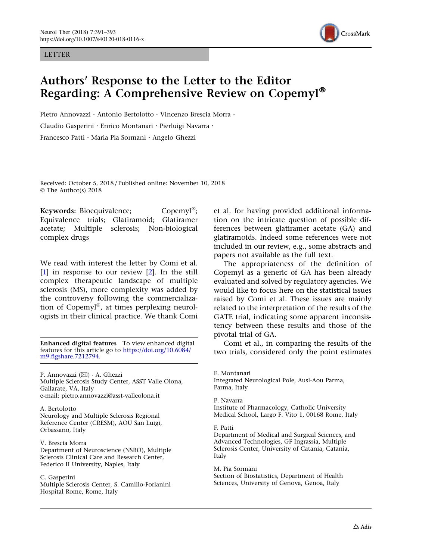### LETTER



# Authors' Response to the Letter to the Editor Regarding: A Comprehensive Review on Copemyl®

Pietro Annovazzi · Antonio Bertolotto · Vincenzo Brescia Morra · Claudio Gasperini . Enrico Montanari . Pierluigi Navarra . Francesco Patti · Maria Pia Sormani · Angelo Ghezzi

Received: October 5, 2018 / Published online: November 10, 2018 © The Author(s) 2018

Keywords: Bioequivalence;  $\qquad \qquad$  Copemyl<sup>®</sup>; Equivalence trials; Glatiramoid; Glatiramer acetate; Multiple sclerosis; Non-biological complex drugs

We read with interest the letter by Comi et al. [\[1\]](#page-2-0) in response to our review [\[2](#page-2-0)]. In the still complex therapeutic landscape of multiple sclerosis (MS), more complexity was added by the controversy following the commercialization of Copemyl®, at times perplexing neurologists in their clinical practice. We thank Comi

Enhanced digital features To view enhanced digital features for this article go to [https://doi.org/10.6084/](http://dx.doi.org/10.6084/m9.figshare.7212794) [m9.figshare.7212794.](http://dx.doi.org/10.6084/m9.figshare.7212794)

P. Annovazzi (⊠) · A. Ghezzi Multiple Sclerosis Study Center, ASST Valle Olona, Gallarate, VA, Italy e-mail: pietro.annovazzi@asst-valleolona.it

A. Bertolotto Neurology and Multiple Sclerosis Regional Reference Center (CRESM), AOU San Luigi, Orbassano, Italy

V. Brescia Morra

Department of Neuroscience (NSRO), Multiple Sclerosis Clinical Care and Research Center, Federico II University, Naples, Italy

### C. Gasperini

Multiple Sclerosis Center, S. Camillo-Forlanini Hospital Rome, Rome, Italy

et al. for having provided additional information on the intricate question of possible differences between glatiramer acetate (GA) and glatiramoids. Indeed some references were not included in our review, e.g., some abstracts and papers not available as the full text.

The appropriateness of the definition of Copemyl as a generic of GA has been already evaluated and solved by regulatory agencies. We would like to focus here on the statistical issues raised by Comi et al. These issues are mainly related to the interpretation of the results of the GATE trial, indicating some apparent inconsistency between these results and those of the pivotal trial of GA.

Comi et al., in comparing the results of the two trials, considered only the point estimates

E. Montanari Integrated Neurological Pole, Ausl-Aou Parma, Parma, Italy

#### P. Navarra

Institute of Pharmacology, Catholic University Medical School, Largo F. Vito 1, 00168 Rome, Italy

#### F. Patti

Department of Medical and Surgical Sciences, and Advanced Technologies, GF Ingrassia, Multiple Sclerosis Center, University of Catania, Catania, Italy

#### M. Pia Sormani

Section of Biostatistics, Department of Health Sciences, University of Genova, Genoa, Italy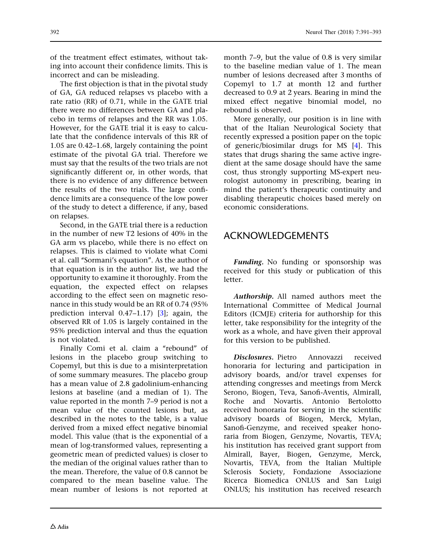of the treatment effect estimates, without taking into account their confidence limits. This is incorrect and can be misleading.

The first objection is that in the pivotal study of GA, GA reduced relapses vs placebo with a rate ratio (RR) of 0.71, while in the GATE trial there were no differences between GA and placebo in terms of relapses and the RR was 1.05. However, for the GATE trial it is easy to calculate that the confidence intervals of this RR of 1.05 are 0.42–1.68, largely containing the point estimate of the pivotal GA trial. Therefore we must say that the results of the two trials are not significantly different or, in other words, that there is no evidence of any difference between the results of the two trials. The large confidence limits are a consequence of the low power of the study to detect a difference, if any, based on relapses.

Second, in the GATE trial there is a reduction in the number of new T2 lesions of 40% in the GA arm vs placebo, while there is no effect on relapses. This is claimed to violate what Comi et al. call ''Sormani's equation''. As the author of that equation is in the author list, we had the opportunity to examine it thoroughly. From the equation, the expected effect on relapses according to the effect seen on magnetic resonance in this study would be an RR of 0.74 (95% prediction interval 0.47–1.17) [[3](#page-2-0)]; again, the observed RR of 1.05 is largely contained in the 95% prediction interval and thus the equation is not violated.

Finally Comi et al. claim a "rebound" of lesions in the placebo group switching to Copemyl, but this is due to a misinterpretation of some summary measures. The placebo group has a mean value of 2.8 gadolinium-enhancing lesions at baseline (and a median of 1). The value reported in the month 7–9 period is not a mean value of the counted lesions but, as described in the notes to the table, is a value derived from a mixed effect negative binomial model. This value (that is the exponential of a mean of log-transformed values, representing a geometric mean of predicted values) is closer to the median of the original values rather than to the mean. Therefore, the value of 0.8 cannot be compared to the mean baseline value. The mean number of lesions is not reported at

month 7–9, but the value of 0.8 is very similar to the baseline median value of 1. The mean number of lesions decreased after 3 months of Copemyl to 1.7 at month 12 and further decreased to 0.9 at 2 years. Bearing in mind the mixed effect negative binomial model, no rebound is observed.

More generally, our position is in line with that of the Italian Neurological Society that recently expressed a position paper on the topic of generic/biosimilar drugs for MS [\[4\]](#page-2-0). This states that drugs sharing the same active ingredient at the same dosage should have the same cost, thus strongly supporting MS-expert neurologist autonomy in prescribing, bearing in mind the patient's therapeutic continuity and disabling therapeutic choices based merely on economic considerations.

# ACKNOWLEDGEMENTS

Funding. No funding or sponsorship was received for this study or publication of this letter.

Authorship. All named authors meet the International Committee of Medical Journal Editors (ICMJE) criteria for authorship for this letter, take responsibility for the integrity of the work as a whole, and have given their approval for this version to be published.

Disclosures. Pietro Annovazzi received honoraria for lecturing and participation in advisory boards, and/or travel expenses for attending congresses and meetings from Merck Serono, Biogen, Teva, Sanofi-Aventis, Almirall, Roche and Novartis. Antonio Bertolotto received honoraria for serving in the scientific advisory boards of Biogen, Merck, Mylan, Sanofi-Genzyme, and received speaker honoraria from Biogen, Genzyme, Novartis, TEVA; his institution has received grant support from Almirall, Bayer, Biogen, Genzyme, Merck, Novartis, TEVA, from the Italian Multiple Sclerosis Society, Fondazione Associazione Ricerca Biomedica ONLUS and San Luigi ONLUS; his institution has received research